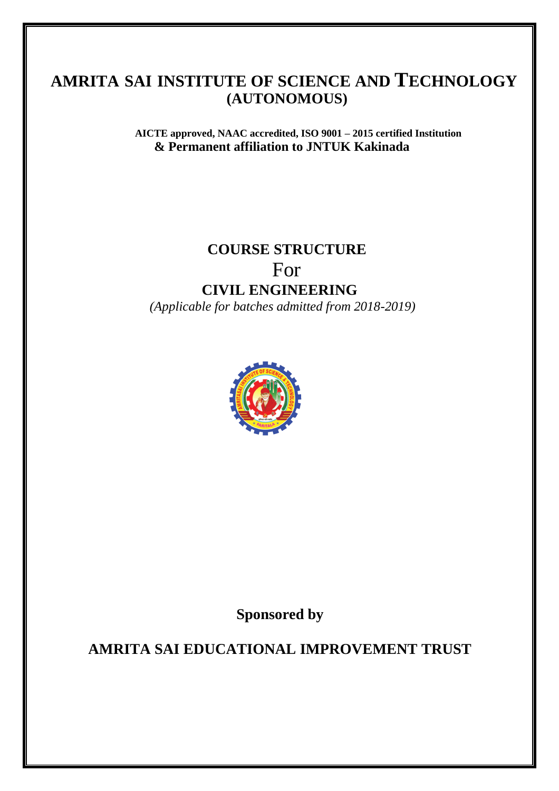**AICTE approved, NAAC accredited, ISO 9001 – 2015 certified Institution & Permanent affiliation to JNTUK Kakinada**

## **COURSE STRUCTURE** For **CIVIL ENGINEERING**  *(Applicable for batches admitted from 2018-2019)*



**Sponsored by**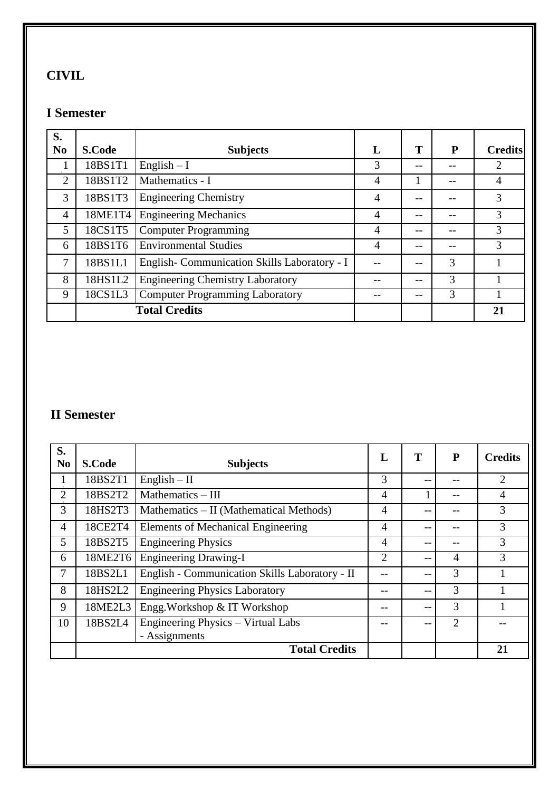## **CIVIL**

#### **I Semester**

| S.<br>N <sub>0</sub> | <b>S.Code</b> | <b>Subjects</b>                             | L              | T  | P | <b>Credits</b> |
|----------------------|---------------|---------------------------------------------|----------------|----|---|----------------|
|                      | 18BS1T1       | English $-I$                                | 3              |    |   | 2              |
| $\overline{2}$       | 18BS1T2       | Mathematics - I                             | 4              |    |   | 4              |
| 3                    | 18BS1T3       | <b>Engineering Chemistry</b>                | 4              | -- |   | 3              |
| $\overline{4}$       | 18ME1T4       | <b>Engineering Mechanics</b>                | $\overline{4}$ | -- |   | 3              |
| 5                    | 18CS1T5       | <b>Computer Programming</b>                 | 4              |    |   | 3              |
| 6                    | 18BS1T6       | <b>Environmental Studies</b>                | $\overline{4}$ | -- |   | 3              |
| 7                    | 18BS1L1       | English-Communication Skills Laboratory - I |                |    | 3 |                |
| 8                    | 18HS1L2       | <b>Engineering Chemistry Laboratory</b>     |                | -- | 3 |                |
| 9                    | 18CS1L3       | <b>Computer Programming Laboratory</b>      |                | -- | 3 |                |
|                      |               | <b>Total Credits</b>                        |                |    |   | 21             |

| S.<br>N <sub>0</sub> | <b>S.Code</b> | <b>Subjects</b>                                | L              | T        | P              | <b>Credits</b> |
|----------------------|---------------|------------------------------------------------|----------------|----------|----------------|----------------|
| л.                   | 18BS2T1       | $English - II$                                 | 3              | ÷        |                | $\overline{2}$ |
| $\overline{2}$       | 18BS2T2       | Mathematics - III                              | 4              |          | --             | $\overline{4}$ |
| 3                    | 18HS2T3       | Mathematics – II (Mathematical Methods)        | 4              |          |                | 3              |
| $\overline{4}$       | 18CE2T4       | <b>Elements of Mechanical Engineering</b>      | 4              | <u>.</u> |                | 3              |
| 5                    | 18BS2T5       | <b>Engineering Physics</b>                     | 4              | <u>.</u> |                | 3              |
| 6                    | 18ME2T6       | <b>Engineering Drawing-I</b>                   | $\overline{2}$ | $- -$    | $\overline{A}$ | 3              |
| 7                    | 18BS2L1       | English - Communication Skills Laboratory - II |                |          | 3              |                |
| 8                    | 18HS2L2       | <b>Engineering Physics Laboratory</b>          |                | $-$      | 3              |                |
| 9                    | 18ME2L3       | Engg. Workshop & IT Workshop                   |                | $- -$    | 3              |                |
| 10                   | 18BS2L4       | Engineering Physics - Virtual Labs             |                |          | $\overline{2}$ |                |
|                      |               | - Assignments                                  |                |          |                |                |
|                      |               | <b>Total Credits</b>                           |                |          |                | 21             |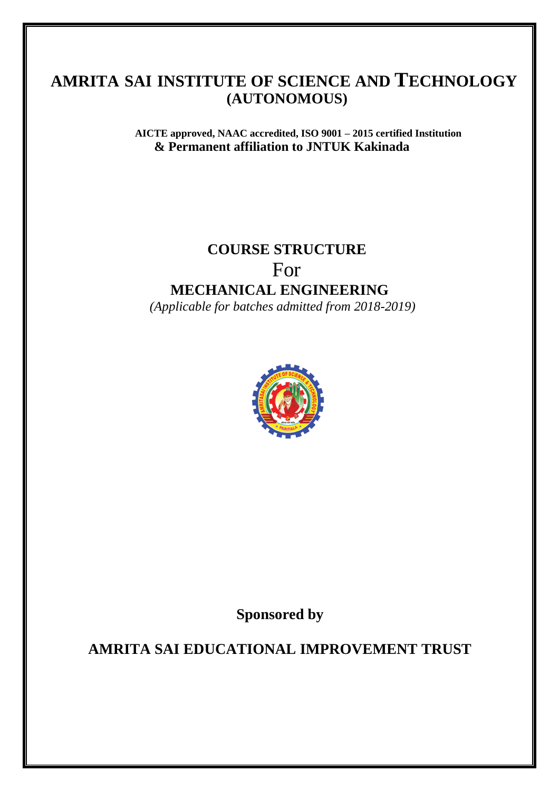**AICTE approved, NAAC accredited, ISO 9001 – 2015 certified Institution & Permanent affiliation to JNTUK Kakinada**

## **COURSE STRUCTURE** For **MECHANICAL ENGINEERING**  *(Applicable for batches admitted from 2018-2019)*



**Sponsored by**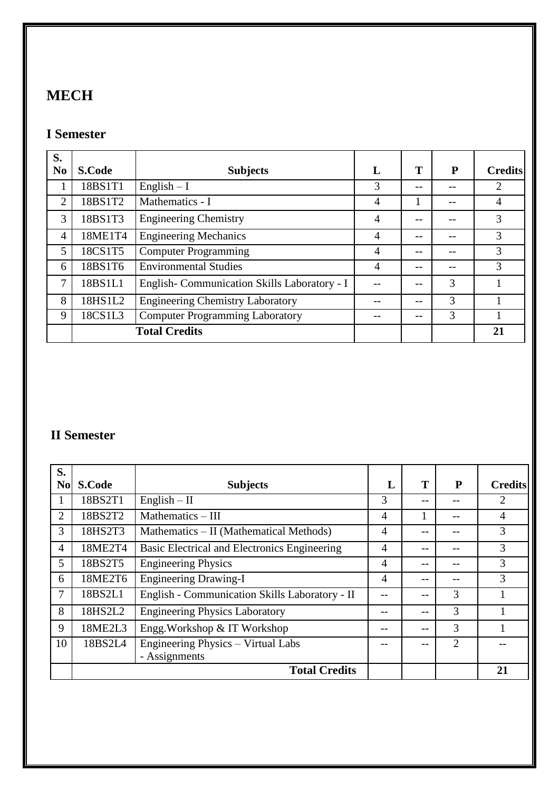## **MECH**

#### **I Semester**

| S.<br>N <sub>0</sub> | <b>S.Code</b> | <b>Subjects</b>                             | L              | T  | P | <b>Credits</b> |
|----------------------|---------------|---------------------------------------------|----------------|----|---|----------------|
|                      | 18BS1T1       | English $-1$                                | 3              | -- |   | 2              |
| $\overline{2}$       | 18BS1T2       | Mathematics - I                             | 4              |    |   | 4              |
| 3                    | 18BS1T3       | <b>Engineering Chemistry</b>                | 4              |    |   | 3              |
| $\overline{4}$       | 18ME1T4       | <b>Engineering Mechanics</b>                | $\overline{4}$ |    |   | 3              |
| 5                    | 18CS1T5       | <b>Computer Programming</b>                 | $\overline{4}$ |    |   | 3              |
| 6                    | 18BS1T6       | <b>Environmental Studies</b>                | $\overline{4}$ | -- |   | 3              |
| 7                    | 18BS1L1       | English-Communication Skills Laboratory - I |                |    | 3 |                |
| 8                    | 18HS1L2       | <b>Engineering Chemistry Laboratory</b>     |                | -- | 3 |                |
| 9                    | 18CS1L3       | <b>Computer Programming Laboratory</b>      |                | -- | 3 |                |
|                      |               | <b>Total Credits</b>                        |                |    |   | 21             |

| S.<br><b>No</b> | <b>S.Code</b> | <b>Subjects</b>                                | L              | T     | P              | <b>Credits</b> |
|-----------------|---------------|------------------------------------------------|----------------|-------|----------------|----------------|
|                 | 18BS2T1       | $English - II$                                 | 3              | --    |                | 2              |
| $\overline{2}$  | 18BS2T2       | Mathematics - III                              | $\overline{A}$ | 1     |                | $\overline{4}$ |
| 3               | 18HS2T3       | Mathematics – II (Mathematical Methods)        | $\overline{4}$ | $- -$ |                | 3              |
| $\overline{4}$  | 18ME2T4       | Basic Electrical and Electronics Engineering   | $\overline{4}$ | --    |                | 3              |
| 5               | 18BS2T5       | <b>Engineering Physics</b>                     | $\overline{4}$ | --    |                | 3              |
| 6               | 18ME2T6       | <b>Engineering Drawing-I</b>                   | 4              | --    |                | 3              |
| 7               | 18BS2L1       | English - Communication Skills Laboratory - II |                | --    | 3              |                |
| 8               | 18HS2L2       | <b>Engineering Physics Laboratory</b>          |                | --    | 3              |                |
| 9               | 18ME2L3       | Engg. Workshop & IT Workshop                   |                | --    | 3              |                |
| 10              | 18BS2L4       | Engineering Physics - Virtual Labs             |                |       | $\mathfrak{D}$ |                |
|                 |               | - Assignments                                  |                |       |                |                |
|                 |               | <b>Total Credits</b>                           |                |       |                | 21             |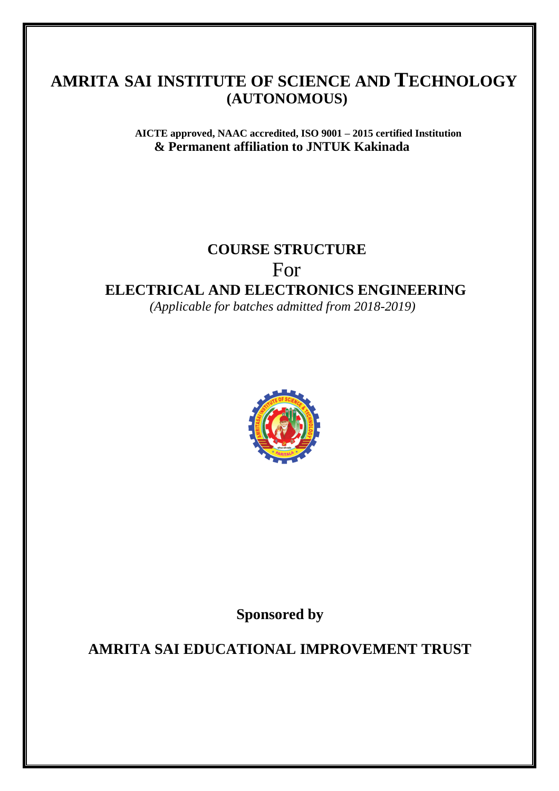**AICTE approved, NAAC accredited, ISO 9001 – 2015 certified Institution & Permanent affiliation to JNTUK Kakinada**

#### **COURSE STRUCTURE**

For

#### **ELECTRICAL AND ELECTRONICS ENGINEERING**

 *(Applicable for batches admitted from 2018-2019)*



**Sponsored by**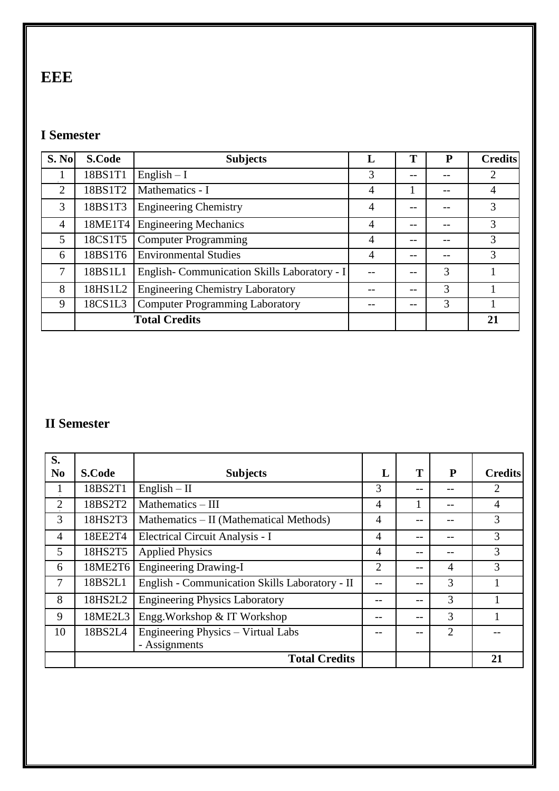## **EEE**

#### **I Semester**

| <b>S. No</b>   | <b>S.Code</b> | <b>Subjects</b>                             | L              | Т     | P | <b>Credits</b> |
|----------------|---------------|---------------------------------------------|----------------|-------|---|----------------|
|                | 18BS1T1       | $English - I$                               | 3              | $- -$ |   | 2              |
| $\overline{2}$ | 18BS1T2       | Mathematics - I                             | 4              |       |   | $\overline{4}$ |
| 3              | 18BS1T3       | <b>Engineering Chemistry</b>                | 4              | $- -$ |   | 3              |
| $\overline{4}$ | 18ME1T4       | <b>Engineering Mechanics</b>                | 4              |       |   | 3              |
| 5              | 18CS1T5       | <b>Computer Programming</b>                 | $\overline{4}$ | $- -$ |   | 3              |
| 6              | 18BS1T6       | <b>Environmental Studies</b>                | 4              | $- -$ |   | 3              |
| 7              | 18BS1L1       | English-Communication Skills Laboratory - I | --             | $- -$ | 3 |                |
| 8              | 18HS1L2       | <b>Engineering Chemistry Laboratory</b>     |                | $- -$ | 3 |                |
| 9              | 18CS1L3       | <b>Computer Programming Laboratory</b>      |                |       | 3 |                |
|                |               | <b>Total Credits</b>                        |                |       |   | 21             |

| S.<br>N <sub>0</sub> |               |                                                |                | T     | P  | <b>Credits</b> |
|----------------------|---------------|------------------------------------------------|----------------|-------|----|----------------|
|                      | <b>S.Code</b> | <b>Subjects</b>                                | L              |       |    |                |
| л.                   | 18BS2T1       | $English - II$                                 | 3              | --    |    | 2              |
| $\overline{2}$       | 18BS2T2       | Mathematics - III                              | $\overline{4}$ |       | -- | $\overline{4}$ |
| 3                    | 18HS2T3       | Mathematics – II (Mathematical Methods)        | 4              | --    |    | 3              |
| $\overline{4}$       | 18EE2T4       | Electrical Circuit Analysis - I                | $\overline{4}$ | --    |    | 3              |
| 5                    | 18HS2T5       | <b>Applied Physics</b>                         | 4              | --    |    | 3              |
| 6                    | 18ME2T6       | Engineering Drawing-I                          | 2              | $- -$ | 4  | 3              |
| 7                    | 18BS2L1       | English - Communication Skills Laboratory - II |                | --    | 3  |                |
| 8                    | 18HS2L2       | <b>Engineering Physics Laboratory</b>          |                | $- -$ | 3  |                |
| 9                    | 18ME2L3       | Engg. Workshop & IT Workshop                   |                | --    | 3  |                |
| 10                   | 18BS2L4       | Engineering Physics – Virtual Labs             |                | --    | 2  |                |
|                      |               | - Assignments                                  |                |       |    |                |
|                      |               | <b>Total Credits</b>                           |                |       |    | 21             |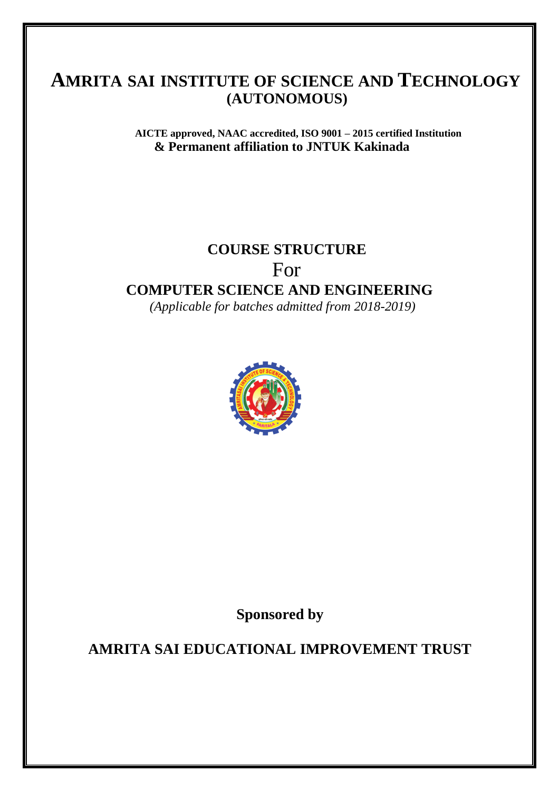**AICTE approved, NAAC accredited, ISO 9001 – 2015 certified Institution & Permanent affiliation to JNTUK Kakinada**

# **COURSE STRUCTURE**

For

#### **COMPUTER SCIENCE AND ENGINEERING**

 *(Applicable for batches admitted from 2018-2019)*



**Sponsored by**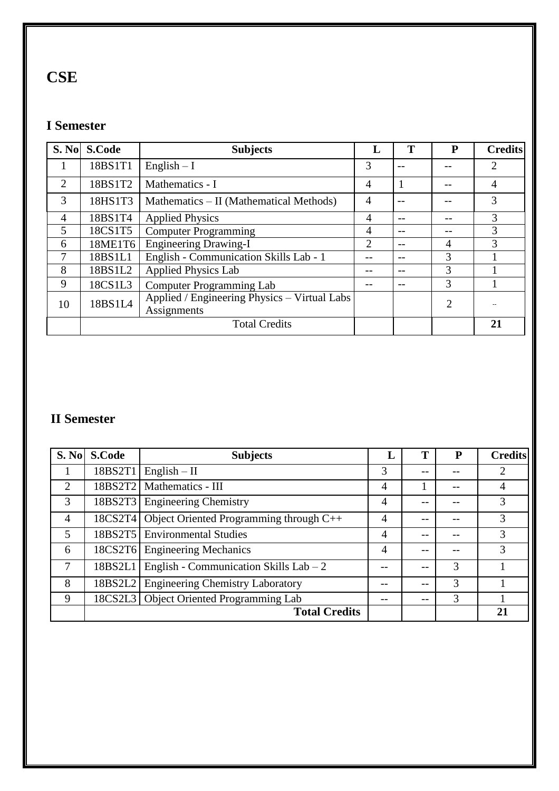## **CSE**

#### **I Semester**

| S. No          | <b>S.Code</b> | <b>Subjects</b>                                             | Ъ. | Т  | P              | <b>Credits</b> |
|----------------|---------------|-------------------------------------------------------------|----|----|----------------|----------------|
| 1              | 18BS1T1       | English $- I$                                               | 3  |    |                | $\overline{2}$ |
| 2              | 18BS1T2       | Mathematics - I                                             | 4  |    |                | $\overline{4}$ |
| 3              | 18HS1T3       | Mathematics – II (Mathematical Methods)                     | 4  |    |                | 3              |
| $\overline{4}$ | 18BS1T4       | <b>Applied Physics</b>                                      | 4  | -- |                | 3              |
| 5              | 18CS1T5       | <b>Computer Programming</b>                                 | 4  | -- |                | 3              |
| 6              | 18ME1T6       | <b>Engineering Drawing-I</b>                                | 2  | -- | $\overline{4}$ | 3              |
| 7              | 18BS1L1       | English - Communication Skills Lab - 1                      |    | -- | 3              |                |
| 8              | 18BS1L2       | <b>Applied Physics Lab</b>                                  |    |    | 3              |                |
| 9              | 18CS1L3       | <b>Computer Programming Lab</b>                             |    |    | 3              |                |
| 10             | 18BS1L4       | Applied / Engineering Physics - Virtual Labs<br>Assignments |    |    | $\overline{2}$ |                |
|                |               | <b>Total Credits</b>                                        |    |    |                | 21             |

|                | S. No S. Code | <b>Subjects</b>                           |                |     |   | <b>Credits</b> |
|----------------|---------------|-------------------------------------------|----------------|-----|---|----------------|
|                | 18BS2T1       | $English - II$                            | 3              | --  |   | 2              |
| 2              | 18BS2T2       | Mathematics - III                         | 4              |     |   | 4              |
| 3              | 18BS2T3       | <b>Engineering Chemistry</b>              | $\overline{4}$ | --  |   | 3              |
| $\overline{4}$ | 18CS2T4       | Object Oriented Programming through C++   | $\overline{4}$ | --  |   | 3              |
| 5              | 18BS2T5       | <b>Environmental Studies</b>              | $\overline{4}$ | --  |   | 3              |
| 6              |               | 18CS2T6 Engineering Mechanics             | $\overline{4}$ | --  |   | 3              |
| 7              | 18BS2L1       | English - Communication Skills Lab $-2$   |                | $-$ | 3 |                |
| 8              | 18BS2L2       | <b>Engineering Chemistry Laboratory</b>   |                | --  | 3 |                |
| 9              |               | 18CS2L3   Object Oriented Programming Lab |                | --  | 3 |                |
|                |               | <b>Total Credits</b>                      |                |     |   | 21             |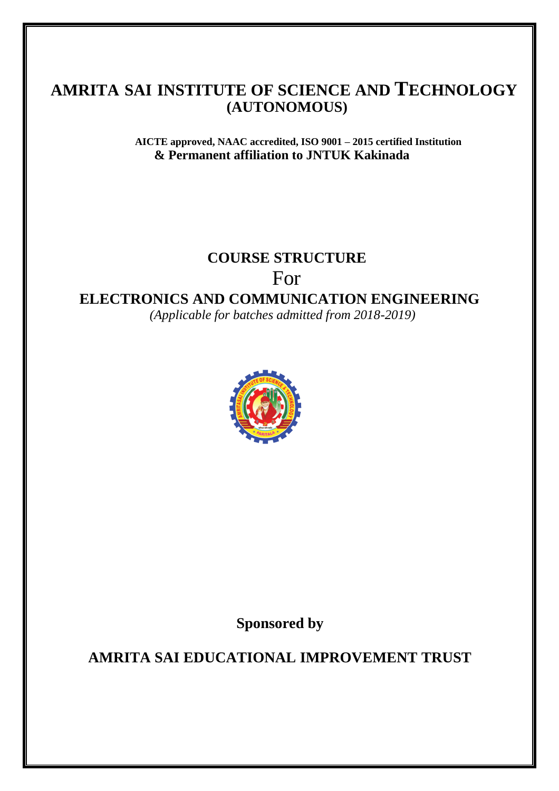**AICTE approved, NAAC accredited, ISO 9001 – 2015 certified Institution & Permanent affiliation to JNTUK Kakinada**

## **COURSE STRUCTURE**

For

**ELECTRONICS AND COMMUNICATION ENGINEERING**

 *(Applicable for batches admitted from 2018-2019)*



**Sponsored by**